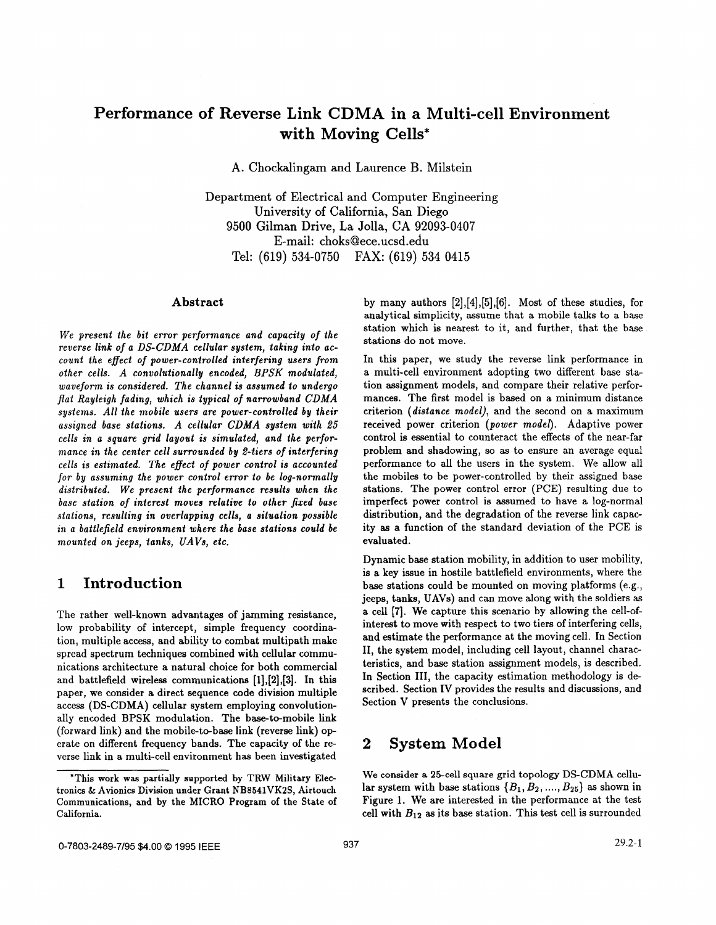# **Performance of Reverse Link CDMA in a Multi-cell Environment with Moving Cells\***

**A.** Chockalingam and Laurence B. Milstein

Department of Electrical and Computer Engineering University of California, San Diego **9500** Gilman Drive, La Jolla, CA **92093-0407**  E-mail: [choks@ece.ucsd.edu](mailto:choks@ece.ucsd.edu) Tel: **(619) 534-0750**  FAX: **(619) 534 0415** 

### **Abstract**

*We present the bit error performance and capacity* **of** *the reverse link of a DS-CDMA cellular system, taking into account the effect of power-controlled interfering users from other cells. A convolutionally encoded, BPSK modulated, waveform is considered. The channel is assumed to undergo flat Rayleigh fading, which is typical of narrowband CDMA systems. All the mobile users are power-controlled by their assigned base stations. A cellular CDMA system with 25 cells in a square grid layout is simulated, and the performance in the center cell surrounded by 2-tiers of interfering cells is estimated. The effect* **of** *power control is accounted for by assuming the power control error to be log-normally distributed. We present the performance results when the base station of interest moves relative to other fixed base stations, resulting an overlapping cells, a situation possible in a battlefield environment where the base stations could be mounted on jeeps, tanks, UAVs, etc.* 

### **1 Introduction**

The rather well-known advantages of jamming resistance, low probability of intercept, simple frequency coordination, multiple access, and ability to combat multipath make spread spectrum techniques combined with cellular communications architecture a natural choice for both commercial and battlefield wireless communications **[1],[2],[3].** In this paper, we consider a direct sequence code division multiple access (DS-CDMA) cellular system employing convolutionally encoded **BPSK** modulation. The base-to-mobile link (forward link) and the mobile-to-base link (reverse link) operate on different frequency bands. The capacity of the reverse link in a multi-cell environment has been investigated by many authors **[2],[4],[5],[6].** Most of these studies, for analytical simplicity, assume that a mobile talks to a base station which is nearest to it, and further, that the base stations do not move.

In this paper, we study the reverse link performance in a multi-cell environment adopting two different base station assignment models, and compare their relative performances. The first model is based on a minimum distance criterion *(distance model),* and the second on a maximum received power criterion *(power model).* Adaptive power control is essential to counteract the effects of the near-far problem and shadowing, so **as** to ensure an average equal performance to all the users in the system. We allow all the mobiles to be power-controlled by their assigned base stations. The power control error (PCE) resulting due to imperfect power control is assumed to have a log-normal distribution, and the degradation of the reverse link capacity **as** a function of the standard deviation of the PCE is evaluated.

Dynamic base station mobility, in addition to user mobility, is a key issue in hostile battlefield environments, where the base stations could be mounted on moving platforms (e.g., jeeps, tanks, UAVs) and can move along with the soldiers **as**  a cell **[7].** We capture this scenario by allowing the cell-ofinterest to move with respect to two tiers of interfering cells, and estimate the performance at the moving cell. In Section 11, the system model, including cell layout, channel characteristics, and base station assignment models, is described. In Section III, the capacity estimation methodology is described. Section IV provides the results and discussions, and Section V presents the conclusions.

### **2 System Model**

**We consider a 25-cell square** grid topology DS-CDMA cellular system with base stations  $\{B_1, B_2, \ldots, B_{25}\}$  as shown in Figure **1.** We are interested in the performance at the test cell with *BIZ* **as** its base station. This test cell is surrounded

<sup>&#</sup>x27;This work was partially supported by TRW Military Electronics & Avionics Division under Grant **NB8541VK2S,** Airtouch Communications, and by the MICRO Program **of** the State of California.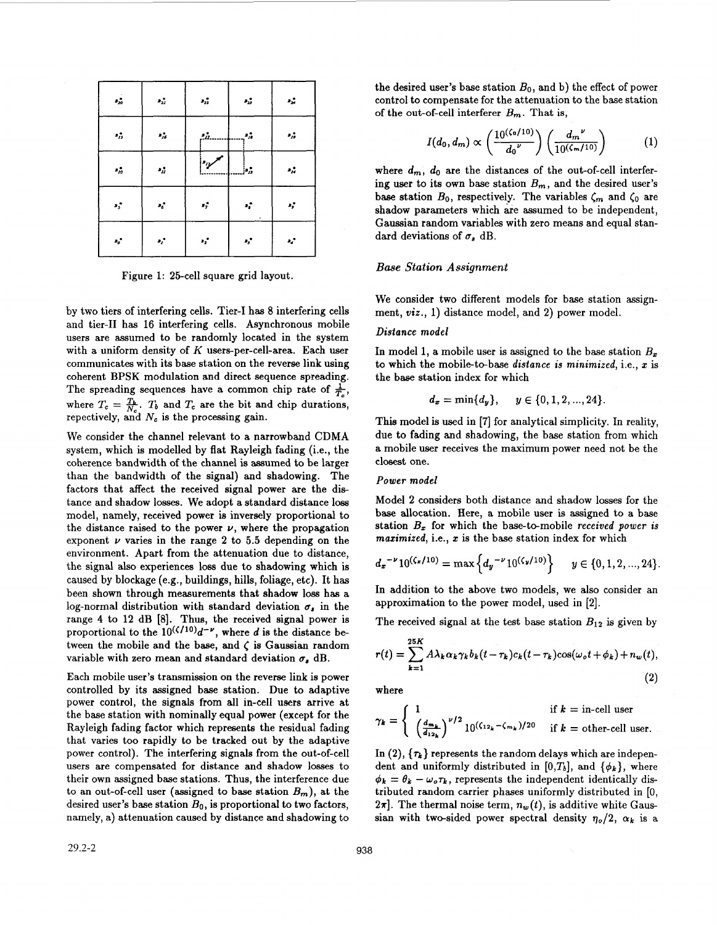| $\mathcal{L}_{20}$    | $\mathbf{z}_H$   | $\mathbf{r}_{22}$ | $\mathbf{z}_2$ | $\mathbf{r}_{\mathbf{x}}$       |
|-----------------------|------------------|-------------------|----------------|---------------------------------|
| $\delta_{jj}$         | $\mathbf{z}_R^*$ | ÷'n.              | ۰,             | $\cdot_{\scriptscriptstyle{D}}$ |
| $\boldsymbol{s}_{10}$ | $\eta_{H}$       | ردوءا             | þ.,            | $\mathbf{r}_H$                  |
| $\mathbf{s}_s$        | $\mathbf{z}_6$   | $\mathbf{r}_i$    | $\mathbf{a}_i$ | $\mathbf{r}_p$                  |
| $\mathbf{s}_o$        | $\mathbf{s}_I$   | $\mathbf{r}_i$    | $\mathbf{r}_j$ | $\mathbf{r}_d$                  |

Figure **1:** 25-cell square grid layout.

by two tiers of interfering cells. Tier-I has 8 interfering cells and tier-I1 has **16** interfering cells. Asynchronous mobile users are assumed to be randomly located in the system with a uniform density of *K* users-per-cell-area. Each user communicates with its base station on the reverse link using coherent BPSK modulation and direct sequence spreading. The spreading sequences have a common chip rate of  $\frac{1}{T}$ , where  $T_c = \frac{T_b}{N_c}$ .  $T_b$  and  $T_c$  are the bit and chip durations, repectively, and  $N_c$  is the processing gain.

We consider the channel relevant to a narrowband CDMA system, which is modelled by flat Rayleigh fading (i.e., the coherence bandwidth of the channel is assumed to be larger than the bandwidth of the signal) and shadowing. The factors that affect the received signal power are the distance and shadow losses. We adopt a standard distance loss model, namely, received power is inversely proportional to the distance raised to the power  $\nu$ , where the propagation exponent  $\nu$  varies in the range 2 to 5.5 depending on the environment. Apart from the attenuation due to distance, the signal also experiences loss due to shadowing which is caused by blockage **(e.g.,** buildings, hills, foliage, etc). It has been shown through measurements that shadow loss **has** a log-normal distribution with standard deviation  $\sigma_s$  in the range **4** to **12** dB **[8].** Thus, the received signal power is proportional to the  $10^{(\zeta/10)}d^{-\nu}$ , where *d* is the distance between the mobile and the base, and  $\zeta$  is Gaussian random variable with zero mean and standard deviation  $\sigma$ , dB.

Each mobile user's transmission on the reverse link is power controlled by its assigned base station. Due to adaptive power control, the signals from all in-cell users arrive at the base station with nominally equal power (except for the Rayleigh fading factor which represents the residual fading that varies too rapidly to be tracked out by the adaptive power control). The interfering signals from the out-of-cell users are compensated for distance and shadow losses to their own assigned base stations. Thus, the interference due to an out-of-cell user (assigned to base station  $B_m$ ), at the desired user's base station *Bo,* is proportional to two factors, namely, a) attenuation caused by distance and shadowing to

the desired user's base station  $B_0$ , and b) the effect of power control to compensate for the attenuation to the base station of the out-of-cell interferer  $B_m$ . That is,

$$
I(d_0, d_m) \propto \left(\frac{10^{(\zeta_0/10)}}{d_0} \right) \left(\frac{d_m^{\nu}}{10^{(\zeta_m/10)}}\right) \tag{1}
$$

where  $d_m$ ,  $d_0$  are the distances of the out-of-cell interfering user to its own base station  $B_m$ , and the desired user's base station  $B_0$ , respectively. The variables  $\zeta_m$  and  $\zeta_0$  are shadow parameters which are assumed to be independent, Gaussian random variables with zero means and equal standard deviations of  $\sigma$ , dB.

#### *Base Station Assignment*

We consider two different models **for** base station assignment, *wiz.,* **1)** distance model, and **2)** power model.

#### *Distance model*

In model 1, a mobile user is assigned to the base station  $B_x$ to which the mobile-tebase *distance is minimized,* i.e., *2* is the **base** station index for which

$$
d_x = \min\{d_y\}, \quad y \in \{0, 1, 2, ..., 24\}.
$$

This model is used in **[7]** for analytical simplicity. In reality, due to fading and shadowing, the base station from which a mobile user receives the maximum power need not be the closest one.

#### *Power model*

Model **2** considers both distance and shadow losses for the **base** allocation. Here, a mobile user is assigned to a base station  $B_x$  for which the base-to-mobile *received power* is *mazimized,* i.e., **z** is the base station index for which

$$
d_x^{-\nu}10^{(\zeta_x/10)} = \max\left\{d_y^{-\nu}10^{(\zeta_y/10)}\right\} \quad y \in \{0, 1, 2, ..., 24\}.
$$

In addition to the above two models, we also consider an approximation to the power model, used in **[2].** 

The received signal at the test base station  $B_{12}$  is given by

$$
r(t) = \sum_{k=1}^{25K} A\lambda_k \alpha_k \gamma_k b_k (t - \tau_k) c_k (t - \tau_k) \cos(\omega_o t + \phi_k) + n_w(t),
$$
\n(2)

where

$$
\gamma_k = \begin{cases} 1 & \text{if } k = \text{in-cell user} \\ \left(\frac{d_{m_k}}{d_{12_k}}\right)^{\nu/2} 10^{\left(\zeta_{12_k} - \zeta_{m_k}\right)/20} & \text{if } k = \text{other-cell user.} \end{cases}
$$

In  $(2)$ ,  $\{\tau_k\}$  represents the random delays which are independent and uniformly distributed in [0,T<sub>b</sub>], and  $\{\phi_k\}$ , where  $\phi_k = \theta_k - \omega_o \tau_k$ , represents the independent identically distributed random carrier phases uniformly distributed in *[O,*   $2\pi$ . The thermal noise term,  $n_w(t)$ , is additive white Gaussian with two-sided power spectral density  $\eta_o/2$ ,  $\alpha_k$  is a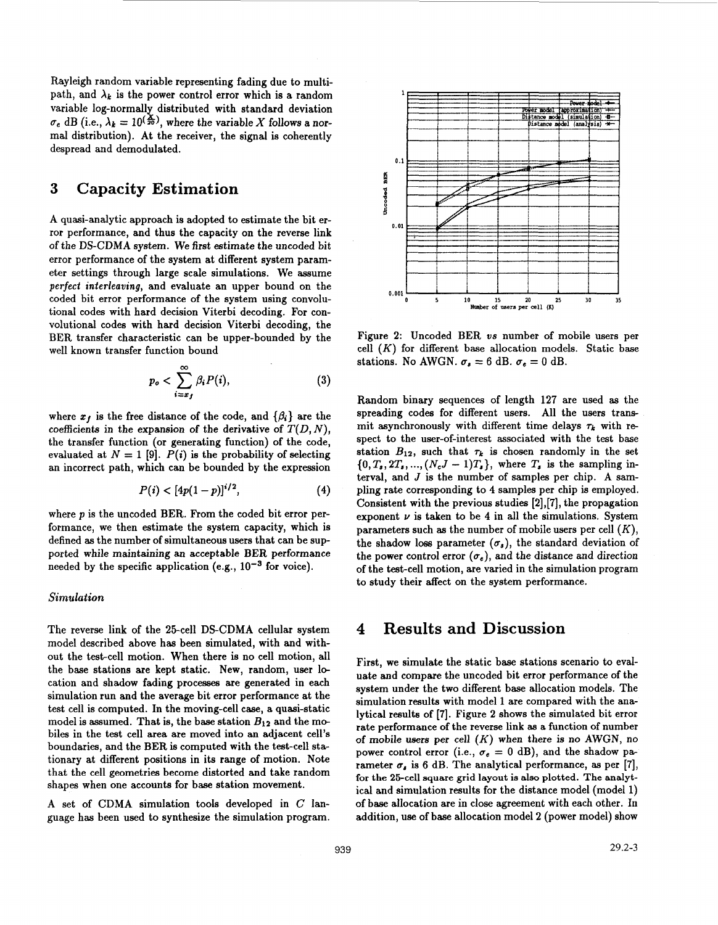Rayleigh random variable representing fading due to multipath, and  $\lambda_k$  is the power control error which is a random variable log-normally distributed with standard deviation  $\sigma_e$  dB (i.e.,  $\lambda_k = 10^{(\frac{\chi}{20})}$ , where the variable *X* follows a normal distribution). At the receiver, the signal is coherently despread and demodulated.

## **3 Capacity Estimation**

A quasi-analytic approach is adopted to estimate the bit error performance, and thus the capacity on the reverse link of the DS-CDMA system. We first estimate the uncoded bit error performance of the system at different system parameter settings through large scale simulations. We assume *perfect interleaving,* and evaluate an upper bound on the coded bit error performance of the system using convolutional codes with hard decision Viterbi decoding. For convolutional codes with hard decision Viterbi decoding, the BER transfer characteristic can be upper-bounded by the well known transfer function bound

$$
p_o < \sum_{i=x_f}^{\infty} \beta_i P(i), \tag{3}
$$

where  $x_f$  is the free distance of the code, and  $\{\beta_i\}$  are the coefficients in the expansion of the derivative of  $T(D, N)$ , the transfer function (or generating function) of the code, evaluated at  $N = 1$  [9].  $P(i)$  is the probability of selecting an incorrect path, which can be bounded by the expression

$$
P(i) < [4p(1-p)]^{i/2}, \tag{4}
$$

where p is the uncoded BER. From the coded bit error performance, we then estimate the system capacity, which is defined **as** the number of simultaneous **users** that can be supported while maintaining an acceptable BER performance needed by the specific application (e.g.,  $10^{-3}$  for voice).

#### *Simulation*

The reverse link of the 25-cell DS-CDMA cellular system model described above has been simulated, with and without the test-cell motion. When there is no cell motion, all the base stations are kept static. New, random, user 10 cation and shadow fading processes are generated in each simulation run and the average bit error performance at the test cell is computed. In the moving-cell case, a quasi-static model is assumed. That is, the base station  $B_{12}$  and the mobiles in the test cell area are moved into an adjacent cell's boundaries, and the BER is computed with the test-cell stationary at different positions in its range of motion. Note that the cell geometries become distorted and take random shapes when one accounts for base station movement.

A set of CDMA simulation tools developed in *C* language has been used to synthesise the simulation program.



Figure 2: Uncoded BER *us* number of mobile users per cell  $(K)$  for different base allocation models. Static base stations. No AWGN.  $\sigma_s = 6$  dB.  $\sigma_e = 0$  dB.

Random binary sequences of length 127 are used **as** the spreading codes for different users. All the users transmit asynchronously with different time delays  $\tau_k$  with respect to the user-of-interest associated with the test base station  $B_{12}$ , such that  $\tau_k$  is chosen randomly in the set  $\{0, T_s, 2T_s, ..., (N_cJ - 1)T_s\}$ , where  $T_s$  is the sampling interval, and *J* is the number of samples per chip. A sampling rate corresponding to **4** samples per chip is employed. Consistent with the previous studies [2],[7], the propagation exponent  $\nu$  is taken to be 4 in all the simulations. System parameters such **as** the number of mobile users per cell (K), the shadow loss parameter  $(\sigma_s)$ , the standard deviation of the power control error  $(\sigma_e)$ , and the distance and direction of the test-cell motion, are varied in the simulation program to study their affect on the system performance.

### **4 Results and Discussion**

First, we simulate the static base stations scenario to evaluate and compare the uncoded bit error performance of the system under the two different base allocation models. The simulation results with model 1 are compared with the analytical results of [7]. Figure **2** shows the simulated bit error rate performance of the reverse link **as** a function of number of mobile **users** per cell (K) when there **is** no AWGN, no power control error (i.e.,  $\sigma_e = 0$  dB), and the shadow parameter  $\sigma_s$  is 6 dB. The analytical performance, as per [7], **for the 25-cell square grid layout is also plotted. The analyt**ical and simulation results for the distance model (model 1) of base allocation are in close agreement with each other. In addition, use of base allocation model **2** (power model) show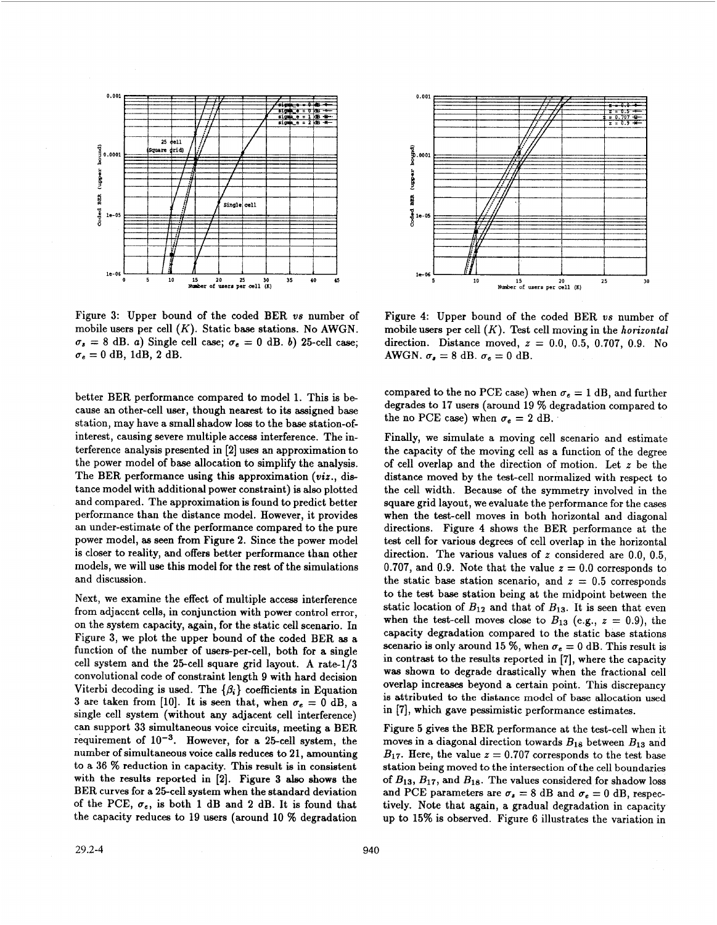

Figure 3: Upper bound of the coded BER *vs* number of mobile users per cell *(K).* Static base stations. No AWGN.  $\sigma_s = 8$  dB. *a*) Single cell case;  $\sigma_e = 0$  dB. *b*) 25-cell case;  $\sigma_e = 0$  dB, 1dB, 2 dB.

better BER performance compared to model 1. This is be cause an other-cell user, though nearest to its assigned base station, may have a small shadow loss to the base station-ofinterest, causing severe multiple access interference. The interference analysis presented in **[2]** uses an approximation to the power model of base allocation to simplify the analysis. The BER performance using this approximation *(viz.,* distance model with additional power constraint) is also plotted and compared. The approximation is found to predict better performance than the distance model. However, it provides an under-estimate of the performance compared to the pure power model, **as** seen from Figure **2.** Since the power model is closer to reality, and offers better performance than other models, we will use this model for the rest of the simulations and discussion.

Next, we examine the effect of multiple access interference from adjacent cells, in conjunction with power control error, on the system capacity, again, for the static cell scenario. In Figure **3,** we plot the upper bound of the coded BER **as** a function of the number of users-per-cell, both **for** a single cell system and the 25-cell square grid layout. **A** rate-1/3 convolutional code of constraint length 9 with hard decision Viterbi decoding is used. The  $\{\beta_i\}$  coefficients in Equation 3 are taken from [10]. It is seen that, when  $\sigma_e = 0$  dB, a single cell system (without any adjacent cell interference) can support 33 simultaneous voice circuits, meeting a BER requirement of  $10^{-3}$ . However, for a 25-cell system, the number of simultaneous voice calls reduces to 21, amounting to a **36** % reduction in capacity. This result is in consistent with the results reported in [2]. Figure **3 also** shows the BER curves for a 25-cell system when the standard deviation of the PCE,  $\sigma_e$ , is both 1 dB and 2 dB. It is found that the capacity reduces to 19 users (around 10 % degradation



Figure **4:** Upper bound of the coded BER *vs* number of mobile users per cell *(K).* Test cell moving in the *horizontal*  direction. Distance moved, *z* = 0.0, 0.5, 0.707, 0.9. **No**  AWGN.  $\sigma_s = 8$  dB.  $\sigma_e = 0$  dB.

compared to the no PCE case) when  $\sigma_e = 1$  dB, and further degrades to 17 users (around **19** % degradation compared to the no PCE case) when  $\sigma_e = 2$  dB.

Finally, we simulate a moving cell scenario and estimate the capacity of the moving cell **as** a function of the degree of cell overlap and the direction of motion. Let *z* be the distance moved by the test-cell normalized with respect to the cell width. Because of the symmetry involved in the square grid layout, we evaluate the performance for the cases when the test-cell moves in both horizontal and diagonal directions. Figure **4** shows the BER performance at the test cell for various degrees of cell overlap in the horizontal direction. The various values of *z* considered are 0.0, 0.5, 0.707, and 0.9. Note that the value  $z = 0.0$  corresponds to the static base station scenario, and  $z = 0.5$  corresponds to the test base station being at the midpoint between the static location of  $B_{12}$  and that of  $B_{13}$ . It is seen that even when the test-cell moves close to  $B_{13}$  (e.g.,  $z = 0.9$ ), the capacity degradation compared to the static base stations scenario is only around 15 %, when  $\sigma_e = 0$  dB. This result is in contrast to the results reported in [7], where the capacity was shown to degrade drastically when the fractional cell overlap increases beyond a certain point. This discrepancy is attributed to the distance model of base allocation used in [?I, which gave pessimistic performance estimates.

Figure *5* gives the BER performance at the test-cell when it moves in a diagonal direction towards *Blg* between *B13* and  $B_{17}$ . Here, the value  $z = 0.707$  corresponds to the test base station being moved to the intersection of the cell boundaries of  $B_{13}$ ,  $B_{17}$ , and  $B_{18}$ . The values considered for shadow loss and PCE parameters are  $\sigma_s = 8$  dB and  $\sigma_e = 0$  dB, respectively. Note that again, a gradual degradation in capacity up to 15% is observed. Figure *6* illustrates the variation in